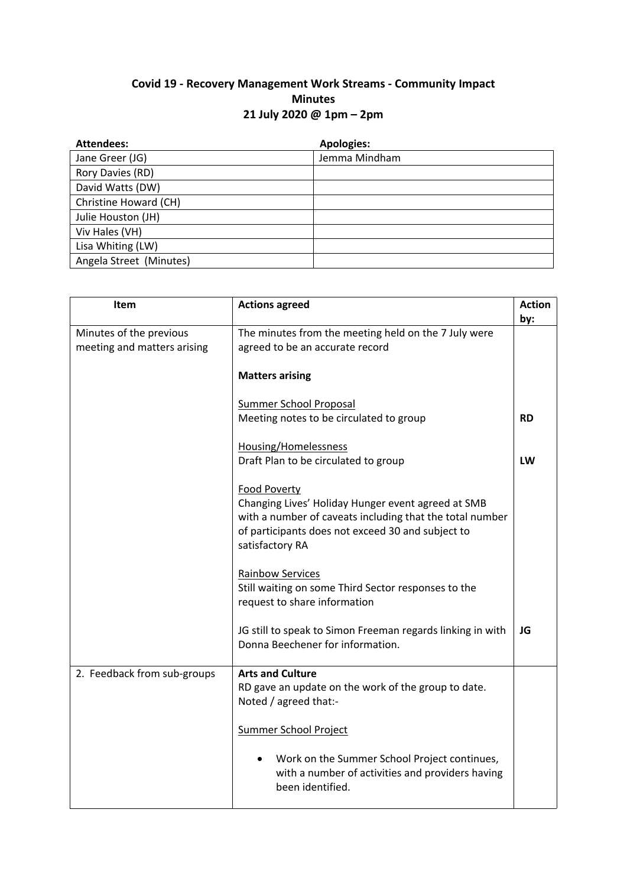## **Covid 19 - Recovery Management Work Streams - Community Impact Minutes 21 July 2020 @ 1pm – 2pm**

| <b>Attendees:</b>       | <b>Apologies:</b> |
|-------------------------|-------------------|
| Jane Greer (JG)         | Jemma Mindham     |
| Rory Davies (RD)        |                   |
| David Watts (DW)        |                   |
| Christine Howard (CH)   |                   |
| Julie Houston (JH)      |                   |
| Viv Hales (VH)          |                   |
| Lisa Whiting (LW)       |                   |
| Angela Street (Minutes) |                   |

| Item                                                   | <b>Actions agreed</b>                                                                                                                                                                                  | <b>Action</b><br>by: |
|--------------------------------------------------------|--------------------------------------------------------------------------------------------------------------------------------------------------------------------------------------------------------|----------------------|
| Minutes of the previous<br>meeting and matters arising | The minutes from the meeting held on the 7 July were<br>agreed to be an accurate record                                                                                                                |                      |
|                                                        | <b>Matters arising</b>                                                                                                                                                                                 |                      |
|                                                        | Summer School Proposal<br>Meeting notes to be circulated to group                                                                                                                                      | <b>RD</b>            |
|                                                        | Housing/Homelessness<br>Draft Plan to be circulated to group                                                                                                                                           | LW                   |
|                                                        | Food Poverty<br>Changing Lives' Holiday Hunger event agreed at SMB<br>with a number of caveats including that the total number<br>of participants does not exceed 30 and subject to<br>satisfactory RA |                      |
|                                                        | <b>Rainbow Services</b><br>Still waiting on some Third Sector responses to the<br>request to share information                                                                                         |                      |
|                                                        | JG still to speak to Simon Freeman regards linking in with<br>Donna Beechener for information.                                                                                                         | JG                   |
| 2. Feedback from sub-groups                            | <b>Arts and Culture</b><br>RD gave an update on the work of the group to date.<br>Noted / agreed that:-                                                                                                |                      |
|                                                        | <b>Summer School Project</b>                                                                                                                                                                           |                      |
|                                                        | Work on the Summer School Project continues,<br>with a number of activities and providers having<br>been identified.                                                                                   |                      |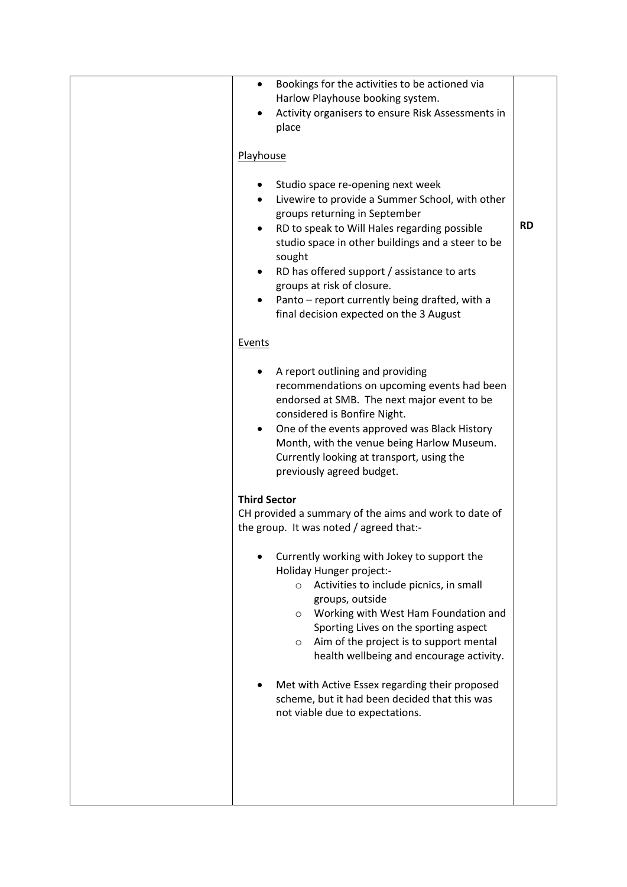| Bookings for the activities to be actioned via<br>$\bullet$<br>Harlow Playhouse booking system.<br>Activity organisers to ensure Risk Assessments in<br>place<br>Playhouse                                                                                                                                                                                                                                                                                                                                                                                                                                      |           |
|-----------------------------------------------------------------------------------------------------------------------------------------------------------------------------------------------------------------------------------------------------------------------------------------------------------------------------------------------------------------------------------------------------------------------------------------------------------------------------------------------------------------------------------------------------------------------------------------------------------------|-----------|
| Studio space re-opening next week<br>Livewire to provide a Summer School, with other<br>$\bullet$<br>groups returning in September<br>RD to speak to Will Hales regarding possible<br>٠<br>studio space in other buildings and a steer to be<br>sought<br>RD has offered support / assistance to arts<br>groups at risk of closure.<br>Panto - report currently being drafted, with a<br>final decision expected on the 3 August                                                                                                                                                                                | <b>RD</b> |
| Events<br>A report outlining and providing<br>recommendations on upcoming events had been<br>endorsed at SMB. The next major event to be<br>considered is Bonfire Night.<br>One of the events approved was Black History<br>Month, with the venue being Harlow Museum.<br>Currently looking at transport, using the<br>previously agreed budget.                                                                                                                                                                                                                                                                |           |
| <b>Third Sector</b><br>CH provided a summary of the aims and work to date of<br>the group. It was noted / agreed that:-<br>Currently working with Jokey to support the<br>Holiday Hunger project:-<br>Activities to include picnics, in small<br>$\circ$<br>groups, outside<br>Working with West Ham Foundation and<br>$\circ$<br>Sporting Lives on the sporting aspect<br>Aim of the project is to support mental<br>$\circ$<br>health wellbeing and encourage activity.<br>Met with Active Essex regarding their proposed<br>scheme, but it had been decided that this was<br>not viable due to expectations. |           |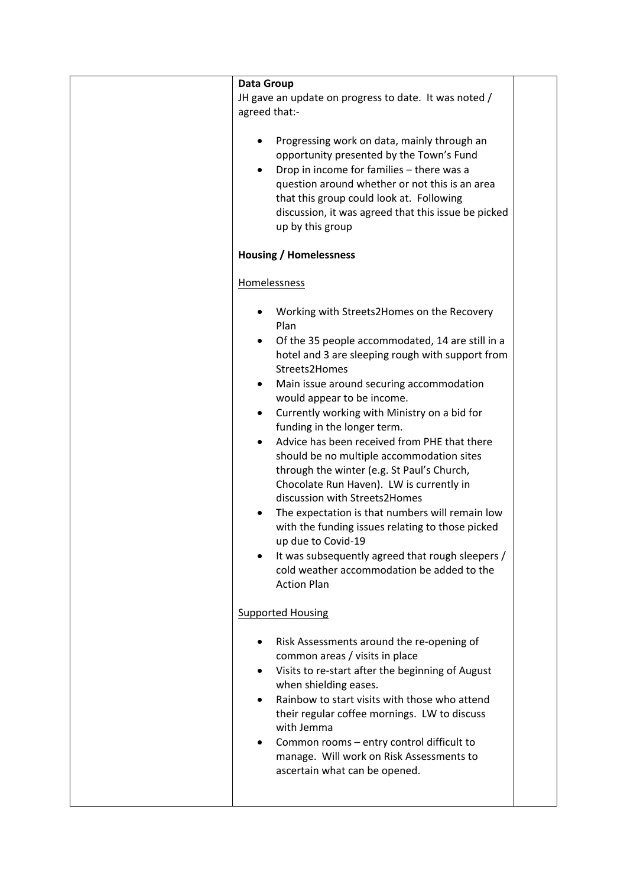| <b>Data Group</b>                                                                                                                                                                                                                                                                                                                                                                                                                                                                                                                                                                                                                                                                                                                                                                                                              |  |
|--------------------------------------------------------------------------------------------------------------------------------------------------------------------------------------------------------------------------------------------------------------------------------------------------------------------------------------------------------------------------------------------------------------------------------------------------------------------------------------------------------------------------------------------------------------------------------------------------------------------------------------------------------------------------------------------------------------------------------------------------------------------------------------------------------------------------------|--|
| JH gave an update on progress to date. It was noted /<br>agreed that:-                                                                                                                                                                                                                                                                                                                                                                                                                                                                                                                                                                                                                                                                                                                                                         |  |
| Progressing work on data, mainly through an<br>opportunity presented by the Town's Fund<br>Drop in income for families - there was a<br>question around whether or not this is an area<br>that this group could look at. Following<br>discussion, it was agreed that this issue be picked<br>up by this group                                                                                                                                                                                                                                                                                                                                                                                                                                                                                                                  |  |
| <b>Housing / Homelessness</b>                                                                                                                                                                                                                                                                                                                                                                                                                                                                                                                                                                                                                                                                                                                                                                                                  |  |
| Homelessness                                                                                                                                                                                                                                                                                                                                                                                                                                                                                                                                                                                                                                                                                                                                                                                                                   |  |
| Working with Streets2Homes on the Recovery<br>Plan<br>Of the 35 people accommodated, 14 are still in a<br>hotel and 3 are sleeping rough with support from<br>Streets2Homes<br>Main issue around securing accommodation<br>would appear to be income.<br>Currently working with Ministry on a bid for<br>$\bullet$<br>funding in the longer term.<br>Advice has been received from PHE that there<br>should be no multiple accommodation sites<br>through the winter (e.g. St Paul's Church,<br>Chocolate Run Haven). LW is currently in<br>discussion with Streets2Homes<br>The expectation is that numbers will remain low<br>with the funding issues relating to those picked<br>up due to Covid-19<br>It was subsequently agreed that rough sleepers /<br>cold weather accommodation be added to the<br><b>Action Plan</b> |  |
| <b>Supported Housing</b>                                                                                                                                                                                                                                                                                                                                                                                                                                                                                                                                                                                                                                                                                                                                                                                                       |  |
| Risk Assessments around the re-opening of<br>common areas / visits in place<br>Visits to re-start after the beginning of August<br>when shielding eases.<br>Rainbow to start visits with those who attend<br>their regular coffee mornings. LW to discuss<br>with Jemma<br>Common rooms - entry control difficult to<br>manage. Will work on Risk Assessments to<br>ascertain what can be opened.                                                                                                                                                                                                                                                                                                                                                                                                                              |  |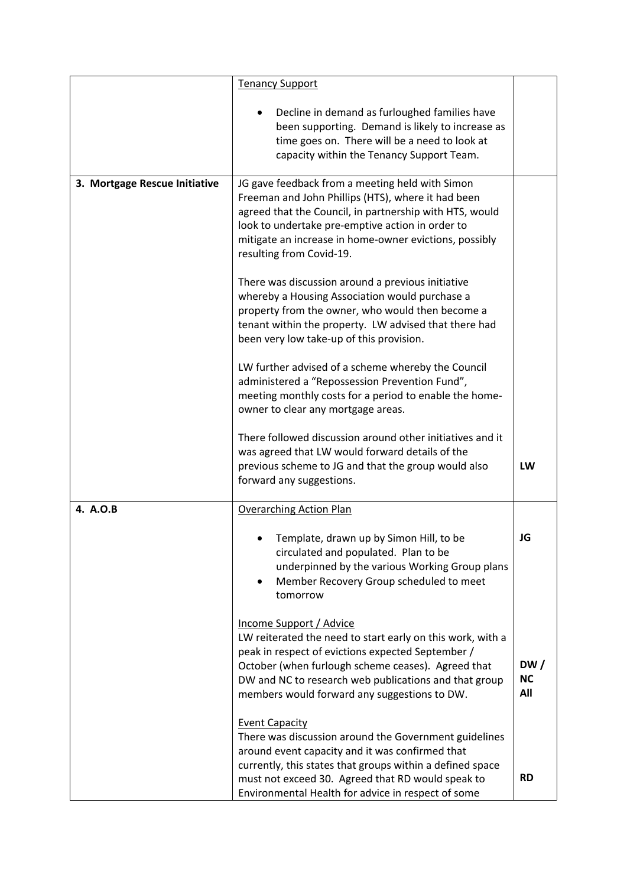|                               | <b>Tenancy Support</b>                                                                                                                                                                                                                                                                                     |                         |
|-------------------------------|------------------------------------------------------------------------------------------------------------------------------------------------------------------------------------------------------------------------------------------------------------------------------------------------------------|-------------------------|
|                               | Decline in demand as furloughed families have<br>been supporting. Demand is likely to increase as<br>time goes on. There will be a need to look at<br>capacity within the Tenancy Support Team.                                                                                                            |                         |
| 3. Mortgage Rescue Initiative | JG gave feedback from a meeting held with Simon<br>Freeman and John Phillips (HTS), where it had been<br>agreed that the Council, in partnership with HTS, would<br>look to undertake pre-emptive action in order to<br>mitigate an increase in home-owner evictions, possibly<br>resulting from Covid-19. |                         |
|                               | There was discussion around a previous initiative<br>whereby a Housing Association would purchase a<br>property from the owner, who would then become a<br>tenant within the property. LW advised that there had<br>been very low take-up of this provision.                                               |                         |
|                               | LW further advised of a scheme whereby the Council<br>administered a "Repossession Prevention Fund",<br>meeting monthly costs for a period to enable the home-<br>owner to clear any mortgage areas.                                                                                                       |                         |
|                               | There followed discussion around other initiatives and it<br>was agreed that LW would forward details of the<br>previous scheme to JG and that the group would also<br>forward any suggestions.                                                                                                            | <b>LW</b>               |
| 4. A.O.B                      | <b>Overarching Action Plan</b>                                                                                                                                                                                                                                                                             |                         |
|                               | Template, drawn up by Simon Hill, to be<br>circulated and populated. Plan to be<br>underpinned by the various Working Group plans<br>Member Recovery Group scheduled to meet<br>tomorrow                                                                                                                   | JG                      |
|                               | Income Support / Advice<br>LW reiterated the need to start early on this work, with a<br>peak in respect of evictions expected September /<br>October (when furlough scheme ceases). Agreed that<br>DW and NC to research web publications and that group<br>members would forward any suggestions to DW.  | DW/<br><b>NC</b><br>All |
|                               | <b>Event Capacity</b><br>There was discussion around the Government guidelines<br>around event capacity and it was confirmed that<br>currently, this states that groups within a defined space<br>must not exceed 30. Agreed that RD would speak to<br>Environmental Health for advice in respect of some  | <b>RD</b>               |